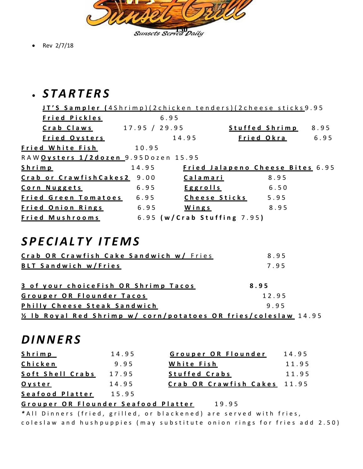

• Rev 2/7/18

## • *S T A R T E R S*

|                             |                 |                                                                                      |               | 8.95                                                                                                                                                                   |
|-----------------------------|-----------------|--------------------------------------------------------------------------------------|---------------|------------------------------------------------------------------------------------------------------------------------------------------------------------------------|
|                             |                 |                                                                                      |               | 6.95                                                                                                                                                                   |
| 10.95                       |                 |                                                                                      |               |                                                                                                                                                                        |
|                             |                 |                                                                                      |               |                                                                                                                                                                        |
| 14.95                       |                 |                                                                                      |               |                                                                                                                                                                        |
| Crab or CrawfishCakes2 9.00 | Calamari        |                                                                                      | 8.95          |                                                                                                                                                                        |
| 6.95                        | <b>Eggrolls</b> |                                                                                      | 6.50          |                                                                                                                                                                        |
| 6.95                        |                 |                                                                                      |               |                                                                                                                                                                        |
| 6.95                        | Wings           |                                                                                      | 8.95          |                                                                                                                                                                        |
|                             |                 |                                                                                      |               |                                                                                                                                                                        |
|                             |                 | 6.95<br>17.95 / 29.95<br>14.95<br>RAW <mark>Oysters 1/2dozen 9</mark> .95Dozen 15.95 | Cheese Sticks | JT'S Sampler (4Shrimp)(2chicken tenders)(2cheese sticks9.95<br>Stuffed Shrimp<br>Fried Okra<br>Fried Jalapeno Cheese Bites 6.95<br>5.95<br>6.95 (w/Crab Stuffing 7.95) |

#### *S P E C I A L T Y I T E M S*

| Crab OR Crawfish Cake Sandwich w/ Fries                                      | 8.95  |
|------------------------------------------------------------------------------|-------|
| <b>BLT Sandwich w/Fries</b>                                                  | 7.95  |
| 3 of your choice Fish OR Shrimp Tacos                                        | 8.95  |
| Grouper OR Flounder Tacos                                                    | 12.95 |
| Philly Cheese Steak Sandwich                                                 | 9.95  |
| 14.95 <u>26 Ib Royal Red Shrimp w/ corn/potatoes</u> OR fries/coleslaw 14.95 |       |

## *D I N N E R S*

| <b>Shrimp</b>    | 14.95 | Grouper OR Flounder          | 14.95 |
|------------------|-------|------------------------------|-------|
| Chicken          | 9.95  | White Fish                   | 11.95 |
| Soft Shell Crabs | 17.95 | <b>Stuffed Crabs</b>         | 11.95 |
| Oyster           | 14.95 | Crab OR Crawfish Cakes 11.95 |       |
| Seafood Platter  | 15.95 |                              |       |

#### Grouper OR Flounder Seafood Platter 19.95

\* All Dinners (fried, grilled, or blackened) are served with fries, coleslaw and hushpuppies (may substitute onion rings for fries add 2.50)